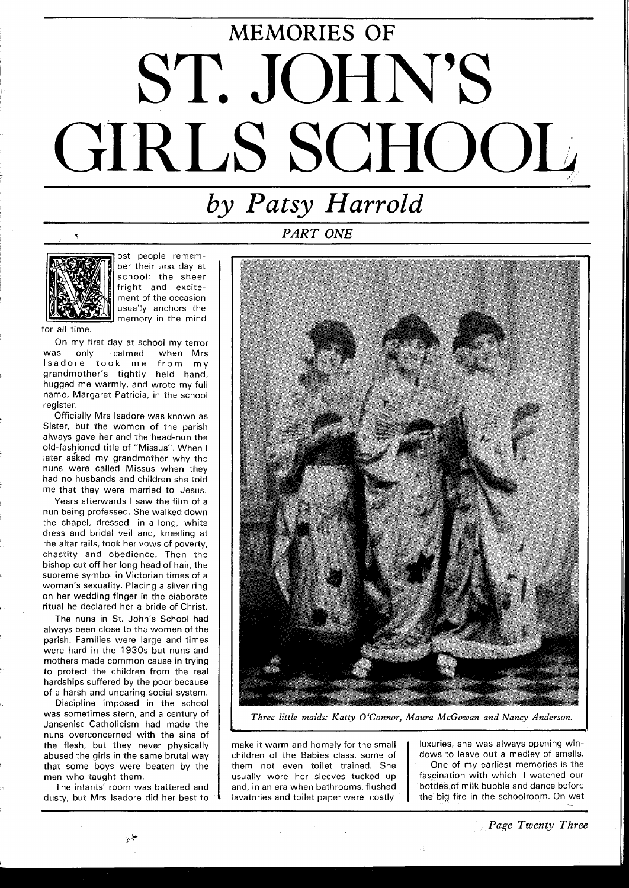## MEMORIES OF ST. JOHN'S GIRLS SCHOOL

## $by$   $Patsy$   $Harrold$

*PART ONE* 



ost people remember their lirst day at school: the sheer fright and excitement of the occasion usua'ly anchors the memory in the mind

for all time.

On my first day at school my terror<br>as only calmed when Mrs was only calmed when Mrs lsadore took me from my grandmother's tightly held hand, hugged me warmly, and wrote my full name, Margaret Patricia, in the school register.

Officially Mrs lsadore was known as Sister, but the women of the parish always gave her and the head-nun the old-fashioned title of "Missus". When I later asked my grandmother why the nuns were called Missus when they had no husbands and children she iold me that they were married to Jesus.

Years afterwards I saw the film of a nun being professed. She walked down the chapel, dressed in a long, white dress and bridal veil and, kneeling at the altar rails, took her vows of poverty, chastity and obedience. Then the bishop cut off her long head of hair, the supreme symbol in Victorian times of a woman's sexuality. Placing a silver ring on her wedding finger in the elaborate ritual he declared her a bride of Christ.

The nuns in St. John's School had always been close to the women of the parish. Families were large and times were hard in the 1930s but nuns and mothers made common cause in trying to protect the children from the real hardships suffered by the poor because of a harsh and uncaring social system.

Discipline imposed in the school was sometimes stern, and a century of Jansenist Catholicism had made the nuns overconcerned with the sins of the flesh, but they never physically abused the girls in the same brutal way that some boys were beaten by the men who taught them.

The infants' room was battered and dusty, but Mrs lsadore did her best to

.<br>\* \*



*Three little maids: Katty O'Connor, Maura McGowan and Nancy Anderson.* 

make it warm and homely for the small children of the Babies class, some of them not even toilet trained. She usually wore her sleeves tucked up and, in an era when bathrooms, flushed lavatories and toilet paper were costly

luxuries, she was always openinq windows to leave out a medley of smells.

One of my earliest memories is the fascination with which I watched our bottles of milk bubble and dance before the big fire in the schoolroom. On wet ..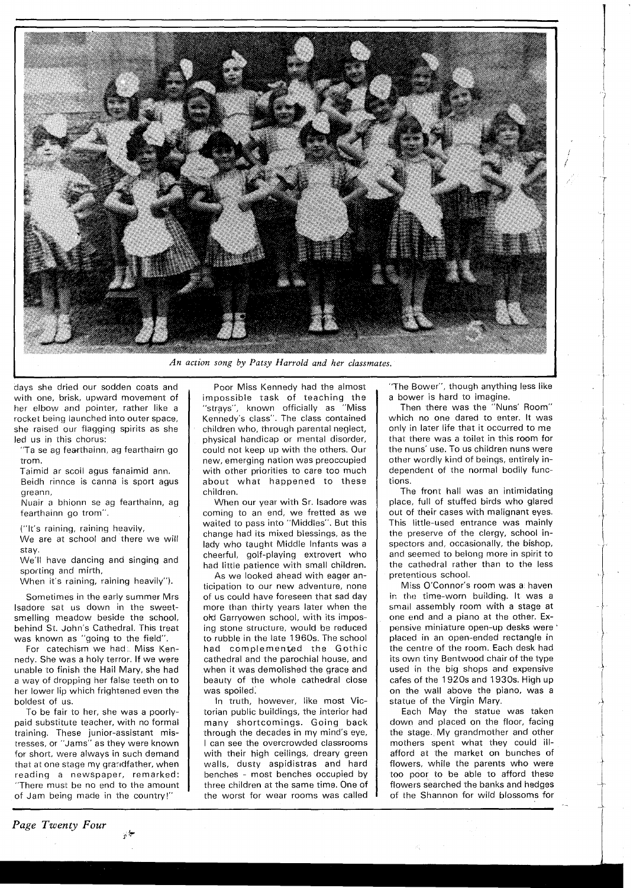

*An action song by Patsy Eiarrold and her classmates.* 

days she dried our sodden coats and with one, brisk, upward movement of her elbow and pointer, rather like a rocket being launched into outer space, she raised our flagging spirits as she led us in this chorus:

"Ta se ag fearthainn, ag fearthairn go trom.

Taimid ar scoil agus fanaimid ann. Beidh rinnce is canna is sport agus greann,

Nuair a bhionn se ag fearthainn, ag fearthainn go trom".

("It's raining, raining heavily,

We are at school and there we will stay.

We'll have dancing and singing and sporting and mirth,

When it's raining, raining heavily").

Sometimes in the early summer Mrs lsadore sat us down in the sweetsmelling meadow beside the school, behind St. John's Cathedral. This treat was known as "going to the field".

For catechism we had. Miss Kennedy. She was a holy terror. If we were unable to finish the Hail Mary, she had a way of dropping her false teeth on to her lower lip which frightened even the boldest of us.

To be fair to her, she was a poorlypaid substitute teacher, with no formal training. These junior-assistant mistresses, or "Jams" as they were known for short, were always in such demand that at one stage my grandfather, when reading a newspaper, remarked: "There must be no end to the amount of Jam being made in the country!"

 $\frac{1}{2}$ 

*Page Twenty Four* 

Poor Miss Kennedy had the almost impossible task of teachinq the "strays", known officially as "Miss Kennedy's class". The class contained children who, through parental neqlect, physical handicap or mental disorder, could not keep up with the others. Our new, emerging nation was preoccupied with other priorities to care too much about what happened to these children.

When our year with Sr. lsadore was coming to an end, we fretted as we waited to pass into "Middles". But this change had its mixed biessinqs, as the lady who taught Middle Infants was a cheerful, golf-playinq extrovert who had little patience with small children.

As we looked ahead with eaqer anticipation to our new adventure, none of us could have foreseen that sad day more than thirty years later when the old Garryowen school, with its imposing stone structure, would be reduced to rubble in the late 1960s. The school had complemented the Gothic cathedral and the parochial house, and when it was demolished the qrace and beauty of the whole cathedral close was spoiled.

In truth, however, like most Victorian public buildings, the interior had many shortcomings. Goinq back through the decades in my mind's eye, I can see the overcrowded classrooms with their high ceilings, dreary qreen walls, dusty aspidistras and hard benches - most benches occupied by three children at the same time. One of the worst for wear rooms was called

"The Bower", though anything less like a bower is hard to imagine.

Then there was the  $\mathrm{``Nuns'}$  Room $''$ which no one dared to enter. It was only in later life that it occurred to me that there was a toilet in this room for the nuns' use. To us children nuns were other wordly kind of beings, entirely independent of the normal bodily functions.

The front hall was an intimidating place, full of stuffed birds who glared out of their cases with maliqnant eyes. This little-used entrance was mainly the preserve of the clergy, school inspectors and, occasionally, the bishop, and seemed to belong more in spirit to the cathedral rather than to the less pretentious school.

Miss O'Connor's room was a haven in the time-worn building. It was a smail assembly room with a stage at one end and a piano at the other. Expensive miniature open-up desks were ' placed in an open-ended rectanqle in the centre of the room. Each desk had its own tiny Bentwood chair of the type used in the big shops and expensive cafes of the 1920s and 1930s. Hiqh up on the wall above the piano, was a statue of the Virgin Mary.

Each May the statue was taken down and placed on the floor, facing the stage. My grandmother and other mothers spent what they could illafford at the market on bunches of flowers, while the parents who were too poor to be able to afford these flowers searched the banks and hedges of the Shannon for wild blossoms for